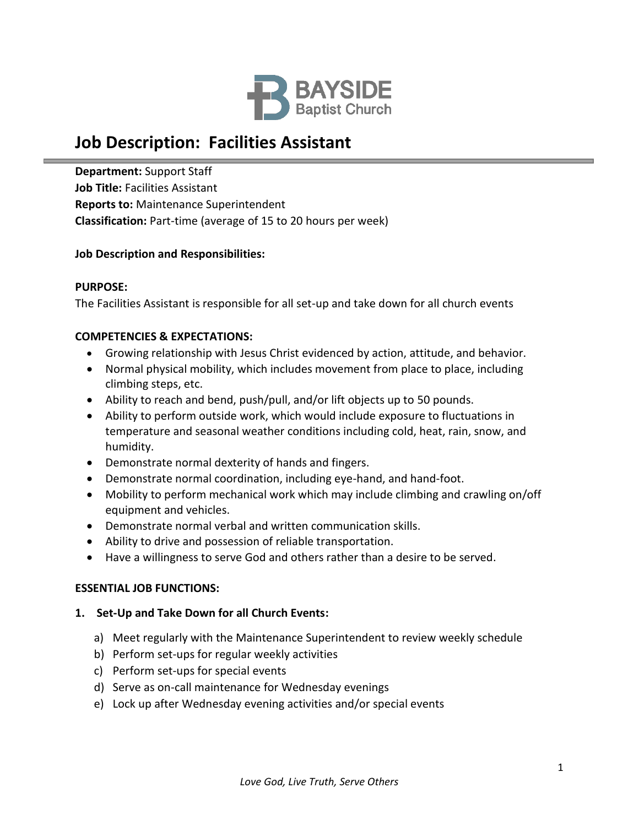

# **Job Description: Facilities Assistant**

**Department:** Support Staff **Job Title:** Facilities Assistant **Reports to:** Maintenance Superintendent **Classification:** Part-time (average of 15 to 20 hours per week)

## **Job Description and Responsibilities:**

#### **PURPOSE:**

The Facilities Assistant is responsible for all set-up and take down for all church events

#### **COMPETENCIES & EXPECTATIONS:**

- Growing relationship with Jesus Christ evidenced by action, attitude, and behavior.
- Normal physical mobility, which includes movement from place to place, including climbing steps, etc.
- Ability to reach and bend, push/pull, and/or lift objects up to 50 pounds.
- Ability to perform outside work, which would include exposure to fluctuations in temperature and seasonal weather conditions including cold, heat, rain, snow, and humidity.
- Demonstrate normal dexterity of hands and fingers.
- Demonstrate normal coordination, including eye-hand, and hand-foot.
- Mobility to perform mechanical work which may include climbing and crawling on/off equipment and vehicles.
- Demonstrate normal verbal and written communication skills.
- Ability to drive and possession of reliable transportation.
- Have a willingness to serve God and others rather than a desire to be served.

#### **ESSENTIAL JOB FUNCTIONS:**

#### **1. Set-Up and Take Down for all Church Events:**

- a) Meet regularly with the Maintenance Superintendent to review weekly schedule
- b) Perform set-ups for regular weekly activities
- c) Perform set-ups for special events
- d) Serve as on-call maintenance for Wednesday evenings
- e) Lock up after Wednesday evening activities and/or special events